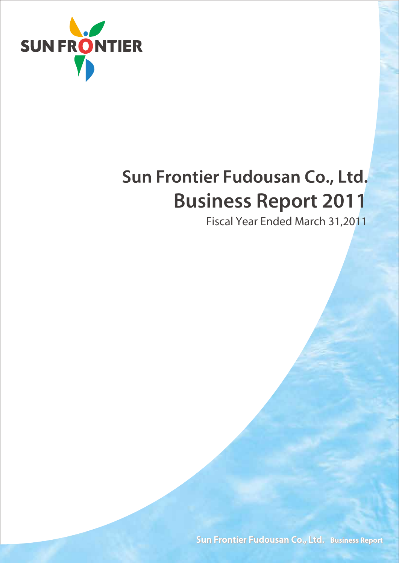

# Sun Frontier Fudousan Co., Ltd. **Business Report 2011**

Fiscal Year Ended March 31,2011

Sun Frontier Fudousan Co., Ltd. Business Report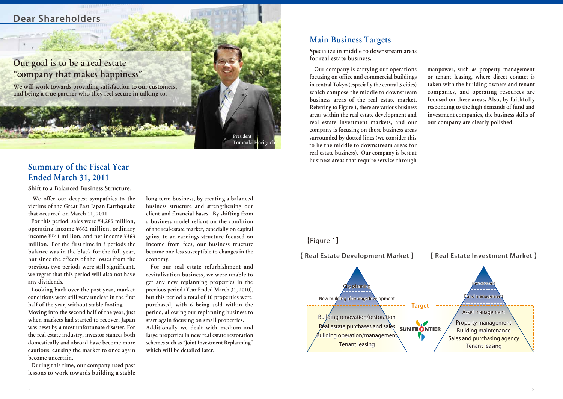# **Dear Shareholders**

#### President Tomoaki Horiguch

## Main Business Targets

Specialize in middle to downstream areas for real estate business.

Our company is carrying out operations focusing on office and commercial buildings in central Tokyo (especially the central 5 cities) which compose the middle to downstream business areas of the real estate market. Referring to Figure 1, there are various business areas within the real estate development and real estate investment markets, and our company is focusing on those business areas surrounded by dotted lines (we consider this to be the middle to downstream areas for real estate business). Our company is best at business areas that require service through

manpower, such as property management or tenant leasing, where direct contact is taken with the building owners and tenant companies, and operating resources are focused on these areas. Also, by faithfully responding to the high demands of fund and investment companies, the business skills of our company are clearly polished.

# Summary of the Fiscal Year Ended March 31, 2011

Shift to a Balanced Business Structure.

We offer our deepest sympathies to the victims of the Great East Japan Earthquake that occurred on March 11, 2011.

For this period, sales were ¥4,289 million, operating income ¥662 million, ordinary income ¥541 million, and net income ¥363 million. For the first time in 3 periods the balance was in the black for the full year, but since the effects of the losses from the previous two periods were still significant, we regret that this period will also not have any dividends.

We will work towards providing satisfaction to our customers, and being a true partner who they feel secure in talking to.

Looking back over the past year, market conditions were still very unclear in the first half of the year, without stable footing. Moving into the second half of the year, just when markets had started to recover, Japan was beset by a most unfortunate disaster. For the real estate industry, investor stances both domestically and abroad have become more cautious, causing the market to once again become uncertain.

During this time, our company used past lessons to work towards building a stable

long-term business, by creating a balanced business structure and strengthening our client and financial bases. By shifting from a business model reliant on the condition of the real-estate market, especially on capital gains, to an earnings structure focused on income from fees, our business tructure became one less susceptible to changes in the economy.

For our real estate refurbishment and revitalization business, we were unable to get any new replanning properties in the previous period (Year Ended March 31, 2010), but this period a total of 10 properties were purchased, with 6 being sold within the period, allowing our replanning business to start again focusing on small properties. Additionally we dealt with medium and large properties in new real estate restoration schemes such as**"**Joint Investment Replanning**"** which will be detailed later.

# Our goal is to be a real estate **"**company that makes happiness**"**

#### 【 **Real Estate Development Market** 】 【 **Real Estate Investment Market** 】

### 【Figure 1】

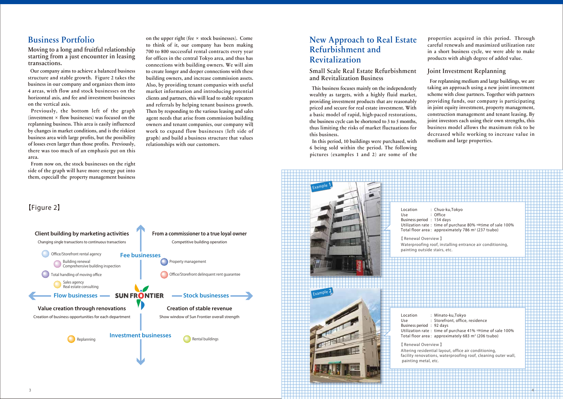# Business Portfolio

Moving to a long and fruitful relationship starting from a just encounter in leasing transactions.

Our company aims to achieve a balanced business structure and stable growth. Figure 2 takes the business in our company and organizes them into 4 areas, with flow and stock businesses on the horizontal axis, and fee and investment businesses on the vertical axis.

Previously, the bottom left of the graph (investment **×** flow businesses) was focused on the replanning business. This area is easily influenced by changes in market conditions, and is the riskiest business area with large profits, but the possibility of losses even larger than those profits. Previously, there was too much of an emphasis put on this area.

From now on, the stock businesses on the right side of the graph will have more energy put into them, especiall the property management business

on the upper right (fee **×** stock businesses). Come to think of it, our company has been making 700 to 800 successful rental contracts every year for offices in the central Tokyo area, and thus has connections with building owners. We will aim to create longer and deeper connections with these building owners, and increase commission assets. Also, by providing tenant companies with useful market information and introducing potential clients and partners, this will lead to stable repeaters and referrals by helping tenant business growth. Then by responding to the various leasing and sales agent needs that arise from commission building owners and tenant companies, our company will work to expand flow businesses (left side of graph) and build a business structure that values relationships with our customers.

# New Approach to Real Estate Refurbishment and Revitalization

Small Scale Real Estate Refurbishment and Revitalization Business

This business focuses mainly on the independently wealthy as targets, with a highly fluid market, providing investment products that are reasonably priced and secure for real estate investment. With a basic model of rapid, high-paced restorations, the business cycle can be shortened to 3 to 5 months, thus limiting the risks of market fluctuations for this business.

In this period, 10 buildings were purchased, with 6 being sold within the period. The following pictures (examples 1 and 2) are some of the

properties acquired in this period. Through careful renewals and maximized utilization rate in a short business cycle, we were able to make products with ahigh degree of added value.

#### Joint Investment Replanning

For replanning medium and large buildings, we are taking an approach using a new joint investment scheme with close partners. Together with partners providing funds, our company is participating in joint equity investment, property management, construction management and tenant leasing. By joint investors each using their own strengths, this business model allows the maximum risk to be decreased while working to increase value in medium and large properties.

# 【Figure 2】



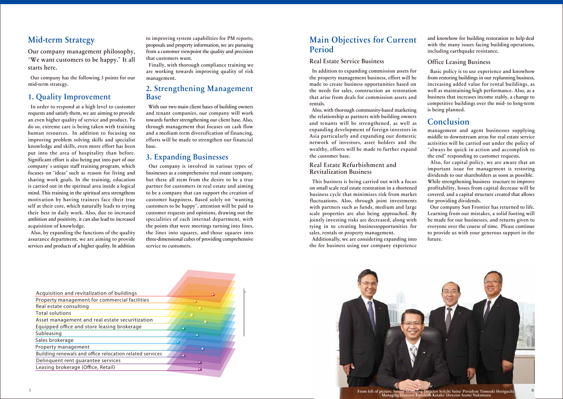# Mid-term Strategy

Our company management philosophy, **"**We want customers to be happy.**"**It all starts here.

Our company has the following 3 points for our mid-term strategy.

## 1. Quality Improvement

In order to respond at a high level to customer requests and satisfy them, we are aiming to provide an even higher quality of service and product. To do so, extreme care is being taken with training human resources. In addition to focusing on improving problem solving skills and specialist knowledge and skills, even more effort has been put into the area of hospitality than before. Significant effort is also being put into part of our company**'**s unique staff training program, which focuses on**"**ideas**"**such as reason for living and sharing work goals. In the training, education is carried out in the spiritual area inside a logical mind. This training in the spiritual area strengthens motivation by having trainees face their true self at their core, which naturally leads to trying their best in daily work. Also, due to increased ambition and positivity, it can also lead to increased acquisition of knowledge.

Also, by expanding the functions of the quality assurance department, we are aiming to provide services and products of a higher quality. In addition to improving system capabilities for PM reports, proposals and property information, we are pursuing from a customer viewpoint the quality and precision that customers want.

Finally, with thorough compliance training we are working towards improving quality of risk management.

### 2. Strengthening Management Base

With our two main client bases of building owners and tenant companies, our company will work towards further strengthening our client base. Also, through management that focuses on cash flow and a medium term diversification of financing, efforts will be made to strengthen our financial base.

# 3. Expanding Businesses

Our company is involved in various types of businesses as a comprehensive real estate company, but these all stem from the desire to be a true partner for customers in real estate and aiming to be a company that can support the creation of customer happiness. Based solely on**"**wanting customers to be happy**"**, attention will be paid to customer requests and opinions, drawing out the specialities of each internal department, with the points that were meetings turning into lines, the lines into squares, and those squares into three-dimensional cubes of providing comprehensive service to customers.

| <b>Main Objectives for Current</b> |  |
|------------------------------------|--|
| Period                             |  |

#### Real Estate Service Business

In addition to expanding commission assets for the property management business, effort will be made to create business opportunities based on the needs for sales, construction an restoration that arise from deals for commission assets and rentals.



Also, with thorough community-based marketing the relationship as partners with building owners and tenants will be strengthened, as well as expanding development of foreign investors in Asia particularly and expanding our domestic network of investors, asset holders and the wealthy, efforts will be made to further expand the customer base.

#### Real Estate Refurbishment and Revitalization Business

This business is being carried out with a focus on small scale real estate restoration in a shortened business cycle that minimizes risk from market fluctuations. Also, through joint investments with partners such as funds, medium and large scale properties are also being approached. By jointly investing risks are decreased, along with tying in to creating businessopportunities for sales, rentals or property management.

Additionally, we are considering expanding into the fee business using our company experience and knowhow for building restoration to help deal with the many issues facing building operations, including earthquake resistance.

#### Office Leasing Business

Basic policy is to use experience and knowhow from restoring buildings in our replanning business, increasing added value for rental buildings, as well as maintaining high performance. Also, as a business that increases income stably, a change to competitive buildings over the mid- to long-term is being planned.

### Conclusion

management and agent businesses supplying middle to downstream areas for real estate service activities will be carried out under the policy of **"**always be quick in action and accomplish to the end**"**responding to customer requests.

Also, for capital policy, we are aware that an important issue for management is restoring dividends to our shareholders as soon as possible. While strengthening business tructure to improve profitability, losses from capital decrease will be covered, and a capital structure created that allows for providing dividends.

Our company Sun Frontier has returned to life. Learning from our mistakes, a solid footing will be made for our businesses, and returns given to everyone over the course of time. Please continue to provide us with your generous support in the future.

| Acquisition and revitalization of buildings              | ◠         |
|----------------------------------------------------------|-----------|
| Property management for commercial facilities            | ◠         |
| Real estate consulting                                   | $\bullet$ |
| <b>Total solutions</b>                                   |           |
| Asset management and real estate securitization          |           |
| Equipped office and store leasing brokerage              | $\bullet$ |
| Subleasing                                               | ο         |
| Sales brokerage                                          |           |
| Property management                                      |           |
| Building renewals and office relocation related services | $\bullet$ |
| Delinquent rent guarantee services                       | Ο         |
| Leasing brokerage (Office, Retail)                       |           |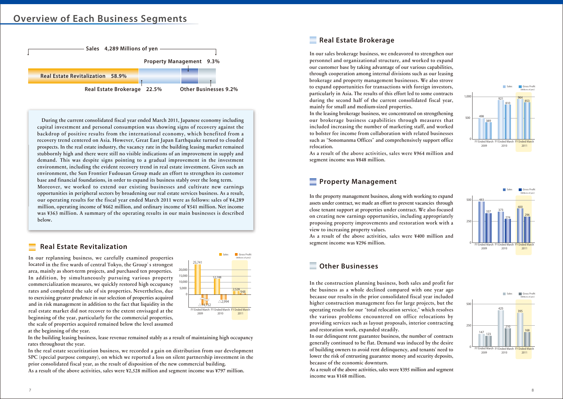# **Overview of Each Business Segments**



During the current consolidated fiscal year ended March 2011, Japanese economy including capital investment and personal consumption was showing signs of recovery against the backdrop of positive results from the international economy, which benefited from a recovery trend centered on Asia. However, Great East Japan Earthquake turned to clouded prospects. In the real estate industry, the vacancy rate in the building leasing market remained stubbornly high and there were still no visible indications of an improvement in supply and demand. This was despite signs pointing to a gradual improvement in the investment environment, including the evident recovery trend in real estate investment. Given such an environment, the Sun Frontier Fudousan Group made an effort to strengthen its customer base and financial foundations, in order to expand its business stably over the long term. Moreover, we worked to extend our existing businesses and cultivate new earnings opportunities in peripheral sectors by broadening our real estate services business. As a result,

our operating results for the fiscal year ended March 2011 were as follows: sales of ¥4,289 million, operating income of ¥662 million, and ordinary income of ¥541 million. Net income was ¥363 million. A summary of the operating results in our main businesses is described below.

#### **Real Estate Revitalization**

### **Property Management**

#### **Other Businesses**

### **Real Estate Brokerage**



In our sales brokerage business, we endeavored to strengthen our personnel and organizational structure, and worked to expand our customer base by taking advantage of our various capabilities, through cooperation among internal divisions such as our leasing brokerage and property management businesses. We also strove to expand opportunities for transactions with foreign investors, particularly in Asia. The results of this effort led to some contracts during the second half of the current consolidated fiscal year, mainly for small and medium-sized properties. In the leasing brokerage business, we concentrated on strengthening our brokerage business capabilities through measures that included increasing the number of marketing staff, and worked to bolster fee income from collaboration with related businesses such as**"**Sonomanma Offices**"**and comprehensively support office relocation.

As a result of the above activities, sales were ¥964 million and segment income was ¥848 million.

In the property management business, along with working to expand assets under contract, we made an effort to prevent vacancies through close tenant support at properties under contract. We also focused on creating new earnings opportunities, including appropriately proposing property improvements and restoration work with a view to increasing property values.

As a result of the above activities, sales were ¥400 million and segment income was ¥296 million.

In the construction planning business, both sales and profit for the business as a whole declined compared with one year ago because our results in the prior consolidated fiscal year included higher construction management fees for large projects, but the operating results for our**"**total relocation service,**"**which resolves the various problems encountered on office relocations by providing services such as layout proposals, interior contracting and restoration work, expanded steadily.











In our delinquent rent guarantee business, the number of contracts generally continued to be flat. Demand was induced by the desire of building owners to avoid rent delinquency, and tenants**'**need to lower the risk of entrusting guarantee money and security deposits, because of the economic downturn.

As a result of the above activities, sales were ¥395 million and segment income was ¥168 million.

In our replanning business, we carefully examined properties located in the five wards of central Tokyo, the Group**'**s strongest area, mainly as short-term projects, and purchased ten properties. In addition, by simultaneously pursuing various property commercialization measures, we quickly restored high occupancy rates and completed the sale of six properties. Nevertheless, due to exercising greater prudence in our selection of properties acquired and in risk management in addition to the fact that liquidity in the real estate market did not recover to the extent envisaged at the beginning of the year, particularly for the commercial properties, the scale of properties acquired remained below the level assumed at the beginning of the year.

In the building leasing business, lease revenue remained stably as a result of maintaining high occupancy rates throughout the year.

In the real estate securitization business, we recorded a gain on distribution from our development SPC (special purpose company), on which we reported a loss on silent partnership investment in the prior consolidated fiscal year, as the result of disposition of the new commercial building.

As a result of the above activities, sales were ¥2,528 million and segment income was ¥797 million.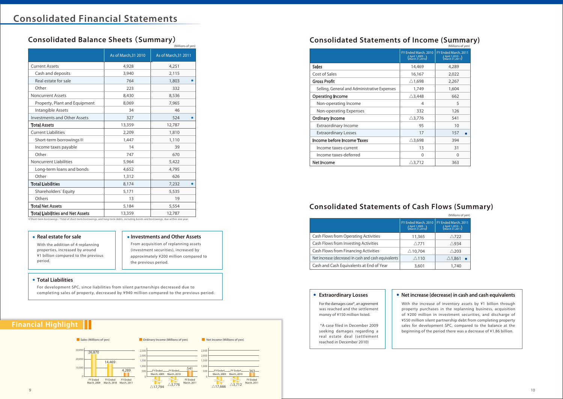■ **Sales (Millions of yen)** ■ **Ordinary Income (Millions of yen)** ■ **Net Income (Millions of yen)**

0

10,000 20,0 30,000

#### **Financial Highlight**

# **Consolidated Balance Sheets**(**Summary**) **Consolidated Statements of Income (Summary)**

# **Consolidated Statements of Cash Flows (Summary)**

For the damages case\*, an agreement was reached and the settlement money of ¥150 million listed.

※Short-term borrowings / Total of short-term borrowings, and long-term debts, including bonds and borrowings, due within one year.

With the increase of inventory assets by ¥1 billion through property purchases in the replanning business, acquisition of ¥200 million in investment securities, and discharge of ¥550 million silent partnership debt from completing property sales for development SPC, compared to the balance at the beginning of the period there was a decrease of ¥1.86 billion.

With the addition of 4 replanning properties, increased by around ¥1 billion compared to the previous period.

From acquisition of replanning assets (investment securities), increased by approximately ¥200 million compared to the previous period.

For development SPC, since liabilities from silent partnerships decreased due to completing sales of property, decreased by ¥940 million compared to the previous period.



#### **Total Liabilities**

\*A case filed in December 2009 seeking damages regarding a real estate deal (settlement reached in December 2010)

#### **Extraordinary Losses**

|                                         |                      | (Millions of yen)    |
|-----------------------------------------|----------------------|----------------------|
|                                         | As of March, 31 2010 | As of March, 31 2011 |
| <b>Current Assets</b>                   | 4,928                | 4,251                |
| Cash and deposits                       | 3,940                | 2,115                |
| Real estate for sale                    | 764                  | 1,803                |
| Other                                   | 223                  | 332                  |
| <b>Noncurrent Assets</b>                | 8,430                | 8,536                |
| Property, Plant and Equipment           | 8,069                | 7,965                |
| Intangible Assets                       | 34                   | 46                   |
| <b>Investments and Other Assets</b>     | 327                  | 524                  |
| <b>Total Assets</b>                     | 13,359               | 12,787               |
| <b>Current Liabilities</b>              | 2,209                | 1,810                |
| Short-term borrowings *                 | 1,447                | 1,110                |
| Income taxes payable                    | 14                   | 39                   |
| Other                                   | 747                  | 670                  |
| <b>Noncurrent Liabilities</b>           | 5,964                | 5,422                |
| Long-term loans and bonds               | 4,652                | 4,795                |
| Other                                   | 1,312                | 626                  |
| <b>Total Liabilities</b>                | 8,174                | 7,232                |
| Shareholders' Equity                    | 5,171                | 5,535                |
| Others                                  | 13                   | 19                   |
| <b>Total Net Assets</b>                 | 5,184                | 5,554                |
| <b>Total Liabilities and Net Assets</b> | 13,359               | 12,787               |

|                                                      |                                                              | (Millions of yen)                                           |
|------------------------------------------------------|--------------------------------------------------------------|-------------------------------------------------------------|
|                                                      | FY Ended March, 2010<br>(April 1,2009 - )<br>(March 31,2010) | FY Ended March, 2011<br>April 1,2010 - )<br>(March 31,2011) |
| <b>Cash Flows from Operating Activities</b>          | 11,365                                                       | $\triangle$ 722                                             |
| Cash Flows from Investing Activities                 | $\wedge$ 771                                                 | $\triangle$ 934                                             |
| Cash Flows from Financing Activities                 | $\triangle$ 10,704                                           | $\triangle$ 203                                             |
| Net increase (decrease) in cash and cash equivalents | $\triangle$ 110                                              | $\triangle$ 1,861                                           |
| Cash and Cash Equivalents at End of Year             | 3,601                                                        | 1,740                                                       |
|                                                      |                                                              |                                                             |

|                                              | FY Ended March, 2010   FY Ended March, 2011<br>(April 1,2009 - )<br>(March 31,2010) |
|----------------------------------------------|-------------------------------------------------------------------------------------|
| <b>Sales</b>                                 | 14,469                                                                              |
| Cost of Sales                                | 16,167                                                                              |
| <b>Gross Profit</b>                          | $\triangle$ 1,698                                                                   |
| Selling, General and Administrative Expenses | 1,749                                                                               |
| <b>Operating Income</b>                      | $\triangle$ 3,448                                                                   |
| Non-operating Income                         | 4                                                                                   |
| Non-operating Expenses                       | 332                                                                                 |
| <b>Ordinary Income</b>                       | $\triangle$ 3,776                                                                   |
| <b>Extraordinary Income</b>                  | 95                                                                                  |
| <b>Extraordinary Losses</b>                  | 17                                                                                  |
| Income before Income Taxes                   | $\triangle$ 3,698                                                                   |
| Income taxes-current                         | 13                                                                                  |
| Income taxes-deferred                        | $\Omega$                                                                            |
| Net Income                                   | $\triangle$ 3,712                                                                   |

#### **Net increase (decrease) in cash and cash equivalents**

#### **Real estate for sale Investments and Other Assets**